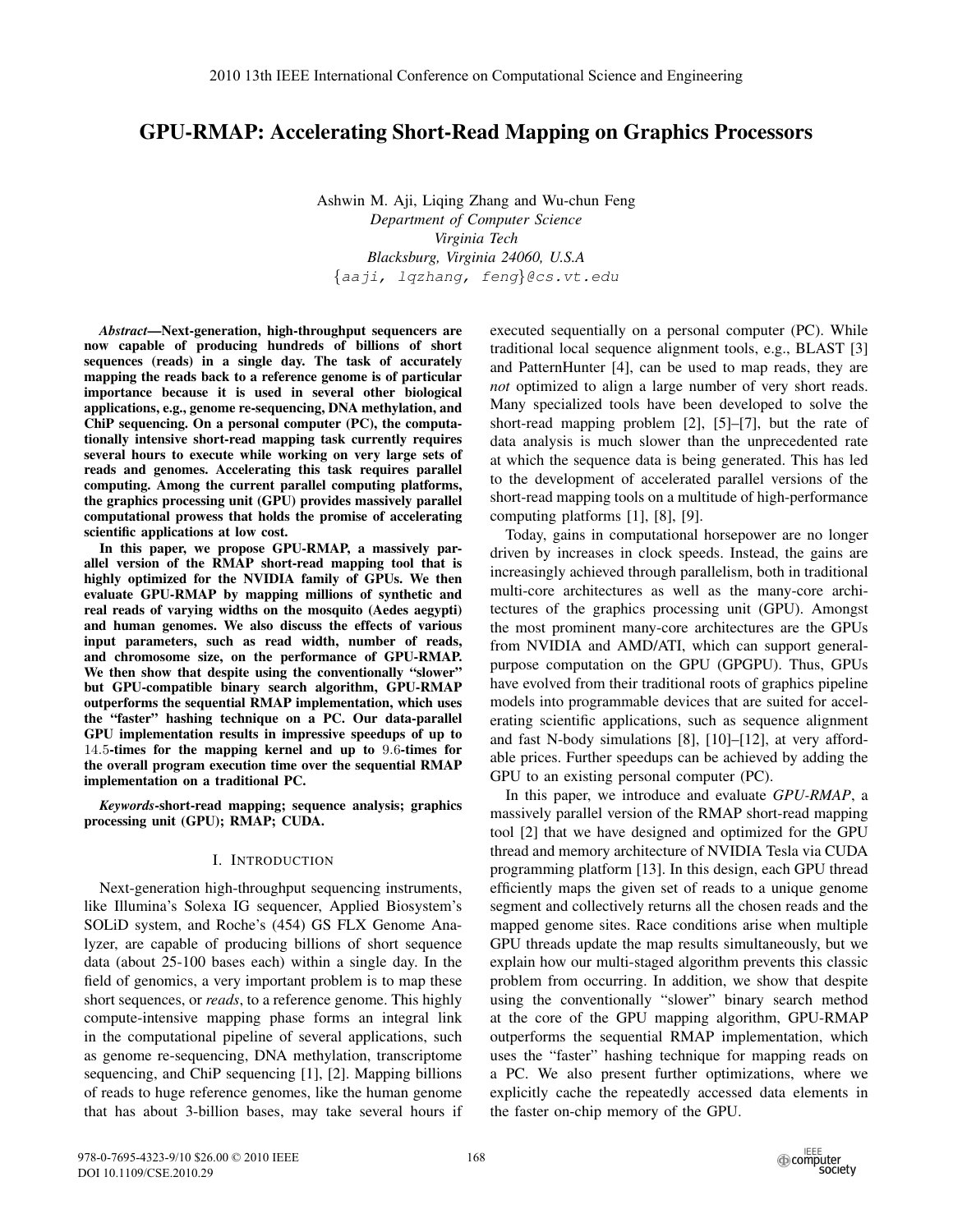# GPU-RMAP: Accelerating Short-Read Mapping on Graphics Processors

Ashwin M. Aji, Liqing Zhang and Wu-chun Feng *Department of Computer Science Virginia Tech Blacksburg, Virginia 24060, U.S.A* {aaji, lqzhang, feng}@cs.vt.edu

*Abstract*—Next-generation, high-throughput sequencers are now capable of producing hundreds of billions of short sequences (reads) in a single day. The task of accurately mapping the reads back to a reference genome is of particular importance because it is used in several other biological applications, e.g., genome re-sequencing, DNA methylation, and ChiP sequencing. On a personal computer (PC), the computationally intensive short-read mapping task currently requires several hours to execute while working on very large sets of reads and genomes. Accelerating this task requires parallel computing. Among the current parallel computing platforms, the graphics processing unit (GPU) provides massively parallel computational prowess that holds the promise of accelerating scientific applications at low cost.

In this paper, we propose GPU-RMAP, a massively parallel version of the RMAP short-read mapping tool that is highly optimized for the NVIDIA family of GPUs. We then evaluate GPU-RMAP by mapping millions of synthetic and real reads of varying widths on the mosquito (Aedes aegypti) and human genomes. We also discuss the effects of various input parameters, such as read width, number of reads, and chromosome size, on the performance of GPU-RMAP. We then show that despite using the conventionally "slower" but GPU-compatible binary search algorithm, GPU-RMAP outperforms the sequential RMAP implementation, which uses the "faster" hashing technique on a PC. Our data-parallel GPU implementation results in impressive speedups of up to 14.5-times for the mapping kernel and up to 9.6-times for the overall program execution time over the sequential RMAP implementation on a traditional PC.

*Keywords*-short-read mapping; sequence analysis; graphics processing unit (GPU); RMAP; CUDA.

#### I. INTRODUCTION

Next-generation high-throughput sequencing instruments, like Illumina's Solexa IG sequencer, Applied Biosystem's SOLiD system, and Roche's (454) GS FLX Genome Analyzer, are capable of producing billions of short sequence data (about 25-100 bases each) within a single day. In the field of genomics, a very important problem is to map these short sequences, or *reads*, to a reference genome. This highly compute-intensive mapping phase forms an integral link in the computational pipeline of several applications, such as genome re-sequencing, DNA methylation, transcriptome sequencing, and ChiP sequencing [1], [2]. Mapping billions of reads to huge reference genomes, like the human genome that has about 3-billion bases, may take several hours if executed sequentially on a personal computer (PC). While traditional local sequence alignment tools, e.g., BLAST [3] and PatternHunter [4], can be used to map reads, they are *not* optimized to align a large number of very short reads. Many specialized tools have been developed to solve the short-read mapping problem [2], [5]–[7], but the rate of data analysis is much slower than the unprecedented rate at which the sequence data is being generated. This has led to the development of accelerated parallel versions of the short-read mapping tools on a multitude of high-performance computing platforms [1], [8], [9].

Today, gains in computational horsepower are no longer driven by increases in clock speeds. Instead, the gains are increasingly achieved through parallelism, both in traditional multi-core architectures as well as the many-core architectures of the graphics processing unit (GPU). Amongst the most prominent many-core architectures are the GPUs from NVIDIA and AMD/ATI, which can support generalpurpose computation on the GPU (GPGPU). Thus, GPUs have evolved from their traditional roots of graphics pipeline models into programmable devices that are suited for accelerating scientific applications, such as sequence alignment and fast N-body simulations [8], [10]–[12], at very affordable prices. Further speedups can be achieved by adding the GPU to an existing personal computer (PC).

In this paper, we introduce and evaluate *GPU-RMAP*, a massively parallel version of the RMAP short-read mapping tool [2] that we have designed and optimized for the GPU thread and memory architecture of NVIDIA Tesla via CUDA programming platform [13]. In this design, each GPU thread efficiently maps the given set of reads to a unique genome segment and collectively returns all the chosen reads and the mapped genome sites. Race conditions arise when multiple GPU threads update the map results simultaneously, but we explain how our multi-staged algorithm prevents this classic problem from occurring. In addition, we show that despite using the conventionally "slower" binary search method at the core of the GPU mapping algorithm, GPU-RMAP outperforms the sequential RMAP implementation, which uses the "faster" hashing technique for mapping reads on a PC. We also present further optimizations, where we explicitly cache the repeatedly accessed data elements in the faster on-chip memory of the GPU.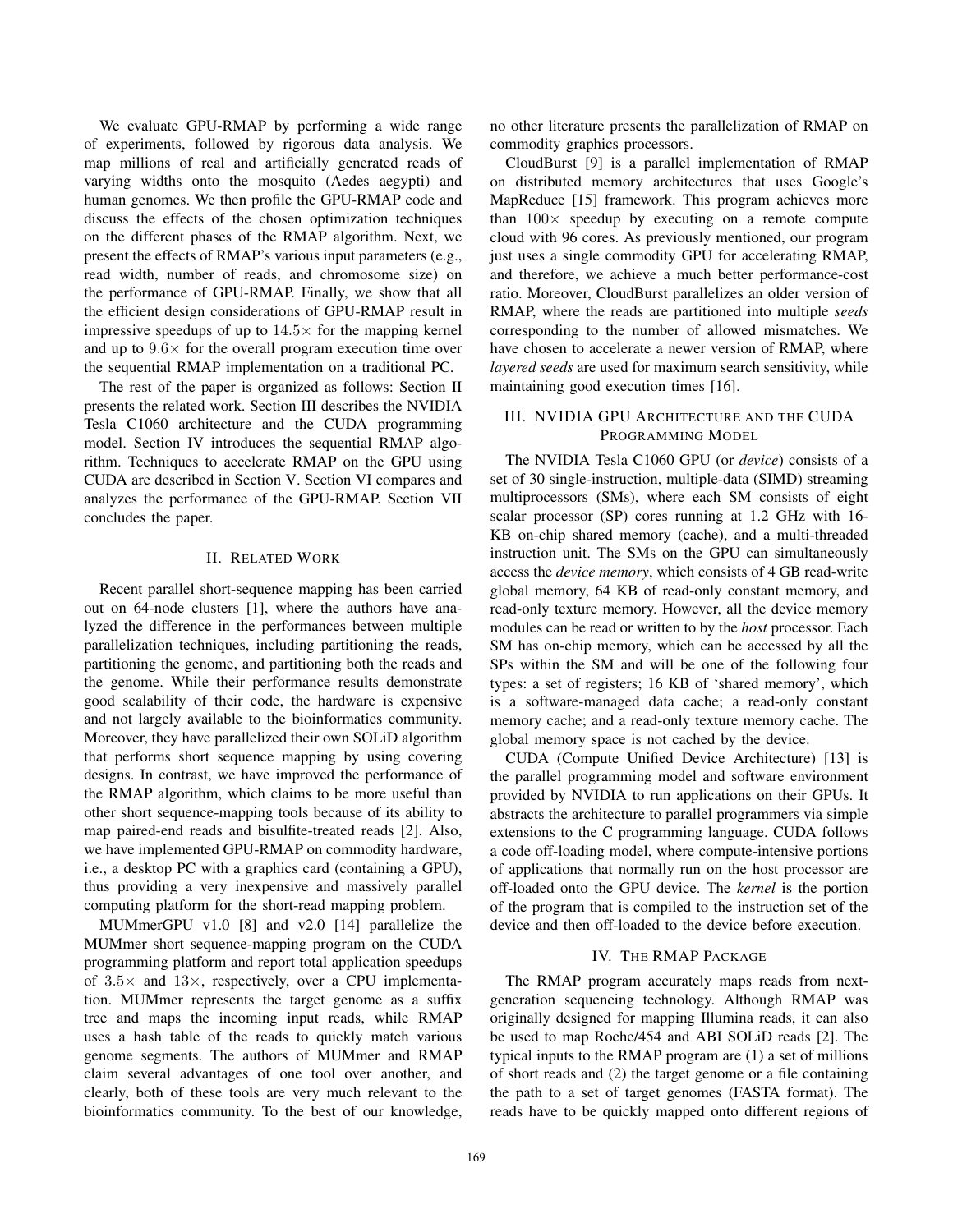We evaluate GPU-RMAP by performing a wide range of experiments, followed by rigorous data analysis. We map millions of real and artificially generated reads of varying widths onto the mosquito (Aedes aegypti) and human genomes. We then profile the GPU-RMAP code and discuss the effects of the chosen optimization techniques on the different phases of the RMAP algorithm. Next, we present the effects of RMAP's various input parameters (e.g., read width, number of reads, and chromosome size) on the performance of GPU-RMAP. Finally, we show that all the efficient design considerations of GPU-RMAP result in impressive speedups of up to  $14.5\times$  for the mapping kernel and up to  $9.6 \times$  for the overall program execution time over the sequential RMAP implementation on a traditional PC.

The rest of the paper is organized as follows: Section II presents the related work. Section III describes the NVIDIA Tesla C1060 architecture and the CUDA programming model. Section IV introduces the sequential RMAP algorithm. Techniques to accelerate RMAP on the GPU using CUDA are described in Section V. Section VI compares and analyzes the performance of the GPU-RMAP. Section VII concludes the paper.

## II. RELATED WORK

Recent parallel short-sequence mapping has been carried out on 64-node clusters [1], where the authors have analyzed the difference in the performances between multiple parallelization techniques, including partitioning the reads, partitioning the genome, and partitioning both the reads and the genome. While their performance results demonstrate good scalability of their code, the hardware is expensive and not largely available to the bioinformatics community. Moreover, they have parallelized their own SOLiD algorithm that performs short sequence mapping by using covering designs. In contrast, we have improved the performance of the RMAP algorithm, which claims to be more useful than other short sequence-mapping tools because of its ability to map paired-end reads and bisulfite-treated reads [2]. Also, we have implemented GPU-RMAP on commodity hardware, i.e., a desktop PC with a graphics card (containing a GPU), thus providing a very inexpensive and massively parallel computing platform for the short-read mapping problem.

MUMmerGPU v1.0 [8] and v2.0 [14] parallelize the MUMmer short sequence-mapping program on the CUDA programming platform and report total application speedups of  $3.5\times$  and  $13\times$ , respectively, over a CPU implementation. MUMmer represents the target genome as a suffix tree and maps the incoming input reads, while RMAP uses a hash table of the reads to quickly match various genome segments. The authors of MUMmer and RMAP claim several advantages of one tool over another, and clearly, both of these tools are very much relevant to the bioinformatics community. To the best of our knowledge, no other literature presents the parallelization of RMAP on commodity graphics processors.

CloudBurst [9] is a parallel implementation of RMAP on distributed memory architectures that uses Google's MapReduce [15] framework. This program achieves more than  $100 \times$  speedup by executing on a remote compute cloud with 96 cores. As previously mentioned, our program just uses a single commodity GPU for accelerating RMAP, and therefore, we achieve a much better performance-cost ratio. Moreover, CloudBurst parallelizes an older version of RMAP, where the reads are partitioned into multiple *seeds* corresponding to the number of allowed mismatches. We have chosen to accelerate a newer version of RMAP, where *layered seeds* are used for maximum search sensitivity, while maintaining good execution times [16].

# III. NVIDIA GPU ARCHITECTURE AND THE CUDA PROGRAMMING MODEL

The NVIDIA Tesla C1060 GPU (or *device*) consists of a set of 30 single-instruction, multiple-data (SIMD) streaming multiprocessors (SMs), where each SM consists of eight scalar processor (SP) cores running at 1.2 GHz with 16- KB on-chip shared memory (cache), and a multi-threaded instruction unit. The SMs on the GPU can simultaneously access the *device memory*, which consists of 4 GB read-write global memory, 64 KB of read-only constant memory, and read-only texture memory. However, all the device memory modules can be read or written to by the *host* processor. Each SM has on-chip memory, which can be accessed by all the SPs within the SM and will be one of the following four types: a set of registers; 16 KB of 'shared memory', which is a software-managed data cache; a read-only constant memory cache; and a read-only texture memory cache. The global memory space is not cached by the device.

CUDA (Compute Unified Device Architecture) [13] is the parallel programming model and software environment provided by NVIDIA to run applications on their GPUs. It abstracts the architecture to parallel programmers via simple extensions to the C programming language. CUDA follows a code off-loading model, where compute-intensive portions of applications that normally run on the host processor are off-loaded onto the GPU device. The *kernel* is the portion of the program that is compiled to the instruction set of the device and then off-loaded to the device before execution.

# IV. THE RMAP PACKAGE

The RMAP program accurately maps reads from nextgeneration sequencing technology. Although RMAP was originally designed for mapping Illumina reads, it can also be used to map Roche/454 and ABI SOLiD reads [2]. The typical inputs to the RMAP program are (1) a set of millions of short reads and (2) the target genome or a file containing the path to a set of target genomes (FASTA format). The reads have to be quickly mapped onto different regions of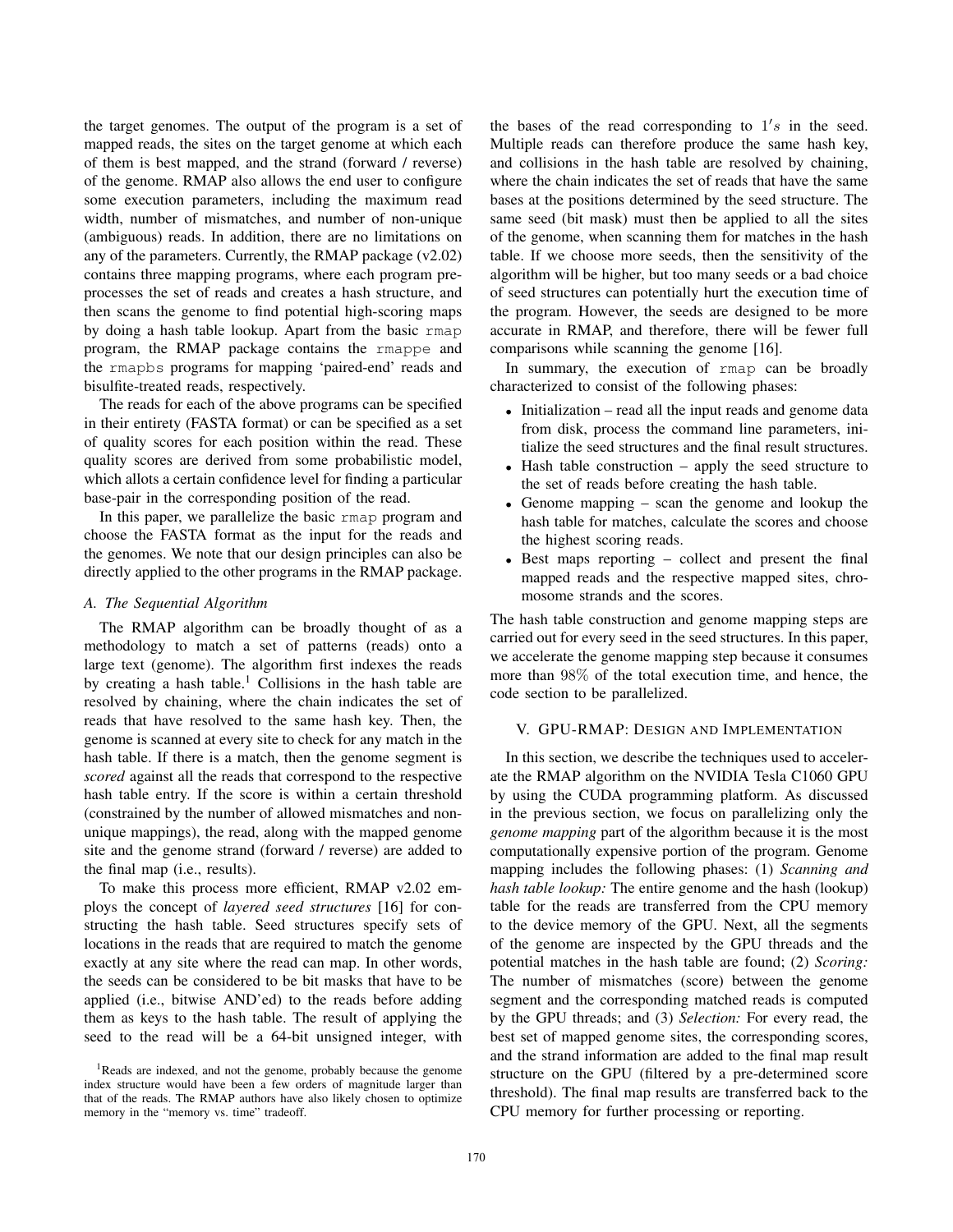the target genomes. The output of the program is a set of mapped reads, the sites on the target genome at which each of them is best mapped, and the strand (forward / reverse) of the genome. RMAP also allows the end user to configure some execution parameters, including the maximum read width, number of mismatches, and number of non-unique (ambiguous) reads. In addition, there are no limitations on any of the parameters. Currently, the RMAP package (v2.02) contains three mapping programs, where each program preprocesses the set of reads and creates a hash structure, and then scans the genome to find potential high-scoring maps by doing a hash table lookup. Apart from the basic rmap program, the RMAP package contains the rmappe and the rmapbs programs for mapping 'paired-end' reads and bisulfite-treated reads, respectively.

The reads for each of the above programs can be specified in their entirety (FASTA format) or can be specified as a set of quality scores for each position within the read. These quality scores are derived from some probabilistic model, which allots a certain confidence level for finding a particular base-pair in the corresponding position of the read.

In this paper, we parallelize the basic rmap program and choose the FASTA format as the input for the reads and the genomes. We note that our design principles can also be directly applied to the other programs in the RMAP package.

#### *A. The Sequential Algorithm*

The RMAP algorithm can be broadly thought of as a methodology to match a set of patterns (reads) onto a large text (genome). The algorithm first indexes the reads by creating a hash table.<sup>1</sup> Collisions in the hash table are resolved by chaining, where the chain indicates the set of reads that have resolved to the same hash key. Then, the genome is scanned at every site to check for any match in the hash table. If there is a match, then the genome segment is *scored* against all the reads that correspond to the respective hash table entry. If the score is within a certain threshold (constrained by the number of allowed mismatches and nonunique mappings), the read, along with the mapped genome site and the genome strand (forward / reverse) are added to the final map (i.e., results).

To make this process more efficient, RMAP v2.02 employs the concept of *layered seed structures* [16] for constructing the hash table. Seed structures specify sets of locations in the reads that are required to match the genome exactly at any site where the read can map. In other words, the seeds can be considered to be bit masks that have to be applied (i.e., bitwise AND'ed) to the reads before adding them as keys to the hash table. The result of applying the seed to the read will be a 64-bit unsigned integer, with

the bases of the read corresponding to  $1's$  in the seed. Multiple reads can therefore produce the same hash key, and collisions in the hash table are resolved by chaining, where the chain indicates the set of reads that have the same bases at the positions determined by the seed structure. The same seed (bit mask) must then be applied to all the sites of the genome, when scanning them for matches in the hash table. If we choose more seeds, then the sensitivity of the algorithm will be higher, but too many seeds or a bad choice of seed structures can potentially hurt the execution time of the program. However, the seeds are designed to be more accurate in RMAP, and therefore, there will be fewer full comparisons while scanning the genome [16].

In summary, the execution of rmap can be broadly characterized to consist of the following phases:

- Initialization read all the input reads and genome data from disk, process the command line parameters, initialize the seed structures and the final result structures.
- Hash table construction apply the seed structure to the set of reads before creating the hash table.
- Genome mapping scan the genome and lookup the hash table for matches, calculate the scores and choose the highest scoring reads.
- Best maps reporting collect and present the final mapped reads and the respective mapped sites, chromosome strands and the scores.

The hash table construction and genome mapping steps are carried out for every seed in the seed structures. In this paper, we accelerate the genome mapping step because it consumes more than 98% of the total execution time, and hence, the code section to be parallelized.

#### V. GPU-RMAP: DESIGN AND IMPLEMENTATION

In this section, we describe the techniques used to accelerate the RMAP algorithm on the NVIDIA Tesla C1060 GPU by using the CUDA programming platform. As discussed in the previous section, we focus on parallelizing only the *genome mapping* part of the algorithm because it is the most computationally expensive portion of the program. Genome mapping includes the following phases: (1) *Scanning and hash table lookup:* The entire genome and the hash (lookup) table for the reads are transferred from the CPU memory to the device memory of the GPU. Next, all the segments of the genome are inspected by the GPU threads and the potential matches in the hash table are found; (2) *Scoring:* The number of mismatches (score) between the genome segment and the corresponding matched reads is computed by the GPU threads; and (3) *Selection:* For every read, the best set of mapped genome sites, the corresponding scores, and the strand information are added to the final map result structure on the GPU (filtered by a pre-determined score threshold). The final map results are transferred back to the CPU memory for further processing or reporting.

<sup>&</sup>lt;sup>1</sup>Reads are indexed, and not the genome, probably because the genome index structure would have been a few orders of magnitude larger than that of the reads. The RMAP authors have also likely chosen to optimize memory in the "memory vs. time" tradeoff.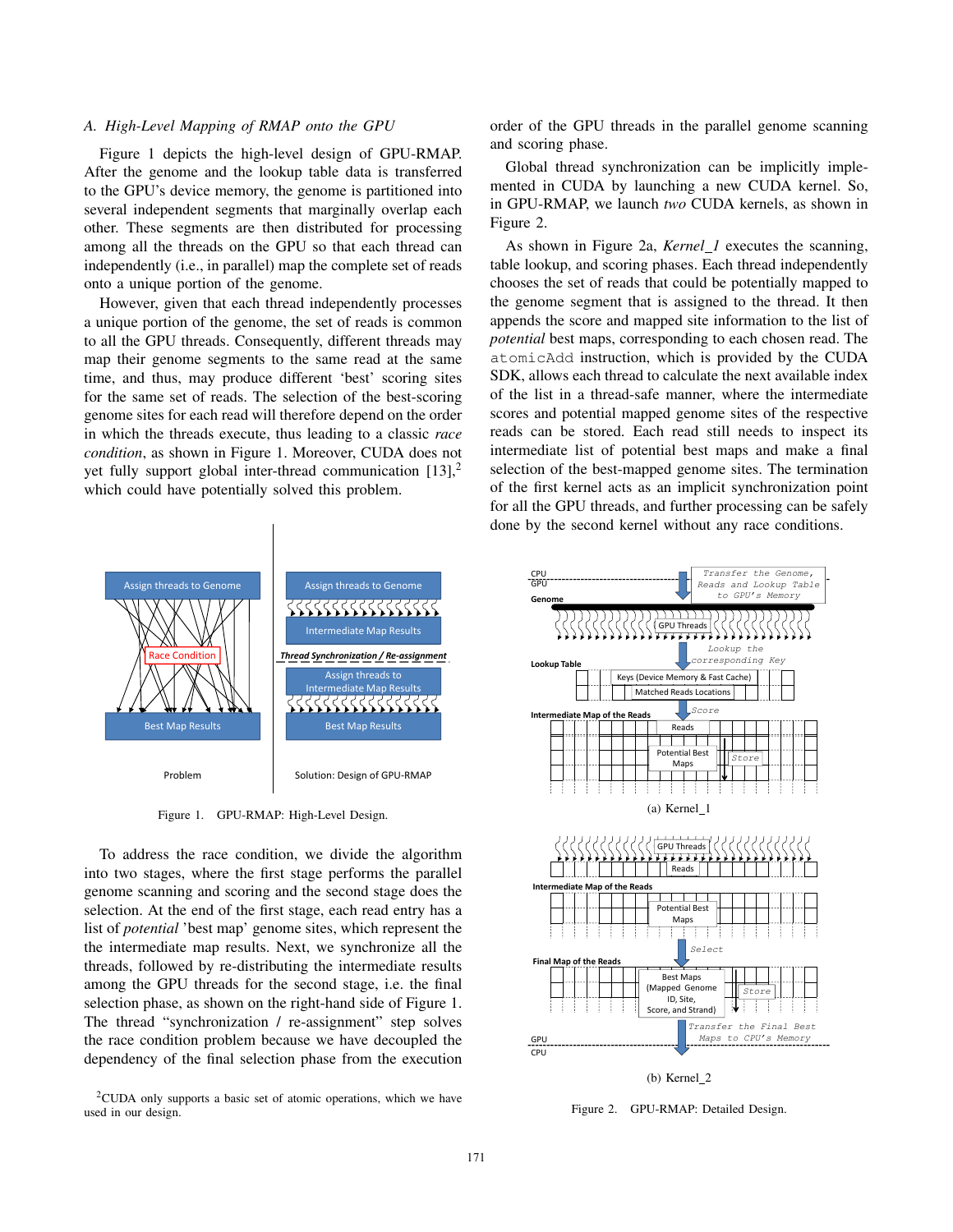# *A. High-Level Mapping of RMAP onto the GPU*

Figure 1 depicts the high-level design of GPU-RMAP. After the genome and the lookup table data is transferred to the GPU's device memory, the genome is partitioned into several independent segments that marginally overlap each other. These segments are then distributed for processing among all the threads on the GPU so that each thread can independently (i.e., in parallel) map the complete set of reads onto a unique portion of the genome.

However, given that each thread independently processes a unique portion of the genome, the set of reads is common to all the GPU threads. Consequently, different threads may map their genome segments to the same read at the same time, and thus, may produce different 'best' scoring sites for the same set of reads. The selection of the best-scoring genome sites for each read will therefore depend on the order in which the threads execute, thus leading to a classic *race condition*, as shown in Figure 1. Moreover, CUDA does not yet fully support global inter-thread communication  $[13]$ ,<sup>2</sup> which could have potentially solved this problem.



Figure 1. GPU-RMAP: High-Level Design.

To address the race condition, we divide the algorithm into two stages, where the first stage performs the parallel genome scanning and scoring and the second stage does the selection. At the end of the first stage, each read entry has a list of *potential* 'best map' genome sites, which represent the the intermediate map results. Next, we synchronize all the threads, followed by re-distributing the intermediate results among the GPU threads for the second stage, i.e. the final selection phase, as shown on the right-hand side of Figure 1. The thread "synchronization / re-assignment" step solves the race condition problem because we have decoupled the dependency of the final selection phase from the execution order of the GPU threads in the parallel genome scanning and scoring phase.

Global thread synchronization can be implicitly implemented in CUDA by launching a new CUDA kernel. So, in GPU-RMAP, we launch *two* CUDA kernels, as shown in Figure 2.

As shown in Figure 2a, *Kernel 1* executes the scanning, table lookup, and scoring phases. Each thread independently chooses the set of reads that could be potentially mapped to the genome segment that is assigned to the thread. It then appends the score and mapped site information to the list of *potential* best maps, corresponding to each chosen read. The atomicAdd instruction, which is provided by the CUDA SDK, allows each thread to calculate the next available index of the list in a thread-safe manner, where the intermediate scores and potential mapped genome sites of the respective reads can be stored. Each read still needs to inspect its intermediate list of potential best maps and make a final selection of the best-mapped genome sites. The termination of the first kernel acts as an implicit synchronization point for all the GPU threads, and further processing can be safely done by the second kernel without any race conditions.



Figure 2. GPU-RMAP: Detailed Design.

<sup>2</sup>CUDA only supports a basic set of atomic operations, which we have used in our design.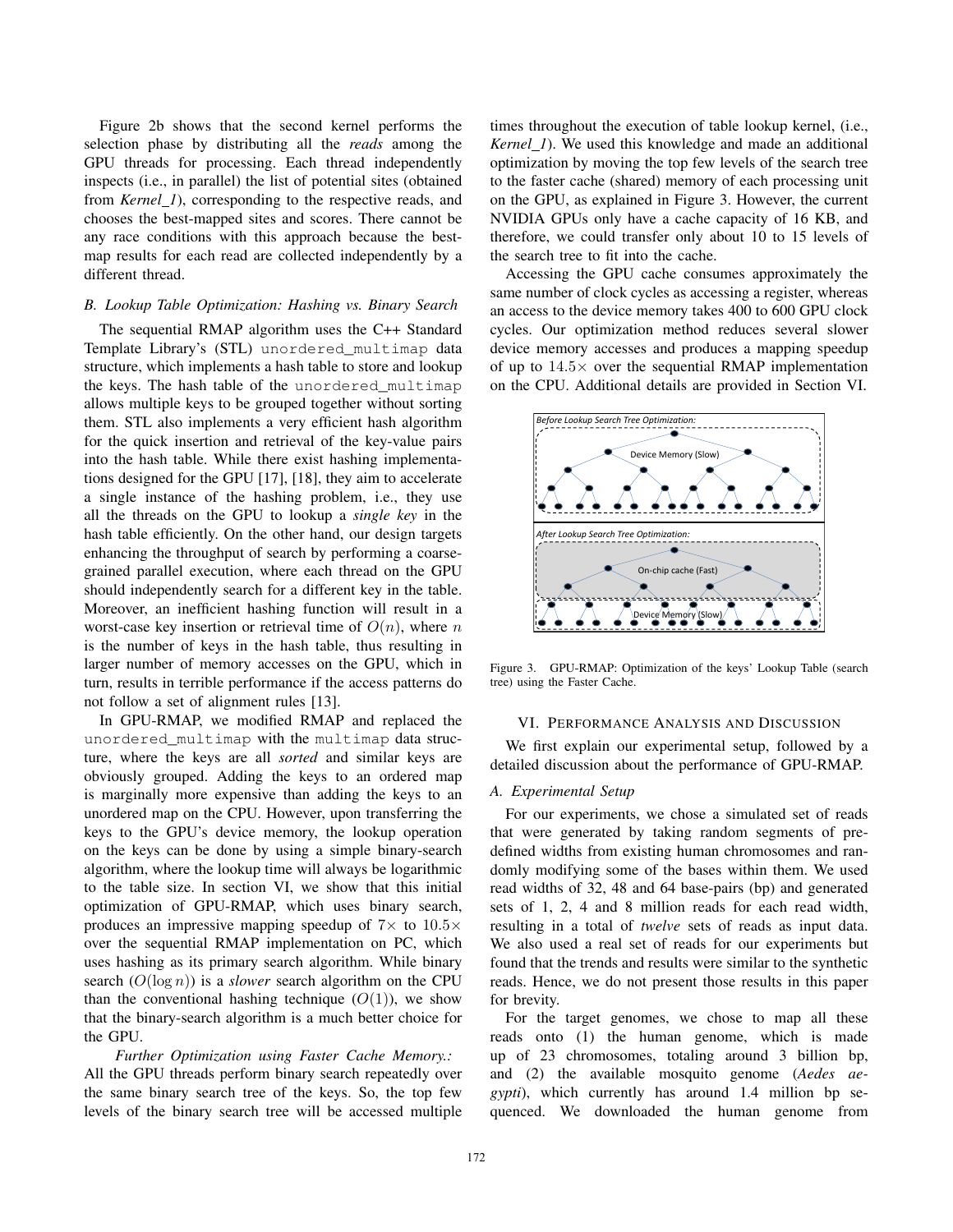Figure 2b shows that the second kernel performs the selection phase by distributing all the *reads* among the GPU threads for processing. Each thread independently inspects (i.e., in parallel) the list of potential sites (obtained from *Kernel 1*), corresponding to the respective reads, and chooses the best-mapped sites and scores. There cannot be any race conditions with this approach because the bestmap results for each read are collected independently by a different thread.

## *B. Lookup Table Optimization: Hashing vs. Binary Search*

The sequential RMAP algorithm uses the C++ Standard Template Library's (STL) unordered\_multimap data structure, which implements a hash table to store and lookup the keys. The hash table of the unordered\_multimap allows multiple keys to be grouped together without sorting them. STL also implements a very efficient hash algorithm for the quick insertion and retrieval of the key-value pairs into the hash table. While there exist hashing implementations designed for the GPU [17], [18], they aim to accelerate a single instance of the hashing problem, i.e., they use all the threads on the GPU to lookup a *single key* in the hash table efficiently. On the other hand, our design targets enhancing the throughput of search by performing a coarsegrained parallel execution, where each thread on the GPU should independently search for a different key in the table. Moreover, an inefficient hashing function will result in a worst-case key insertion or retrieval time of  $O(n)$ , where n is the number of keys in the hash table, thus resulting in larger number of memory accesses on the GPU, which in turn, results in terrible performance if the access patterns do not follow a set of alignment rules [13].

In GPU-RMAP, we modified RMAP and replaced the unordered\_multimap with the multimap data structure, where the keys are all *sorted* and similar keys are obviously grouped. Adding the keys to an ordered map is marginally more expensive than adding the keys to an unordered map on the CPU. However, upon transferring the keys to the GPU's device memory, the lookup operation on the keys can be done by using a simple binary-search algorithm, where the lookup time will always be logarithmic to the table size. In section VI, we show that this initial optimization of GPU-RMAP, which uses binary search, produces an impressive mapping speedup of  $7\times$  to  $10.5\times$ over the sequential RMAP implementation on PC, which uses hashing as its primary search algorithm. While binary search  $(O(\log n))$  is a *slower* search algorithm on the CPU than the conventional hashing technique  $(O(1))$ , we show that the binary-search algorithm is a much better choice for the GPU.

*Further Optimization using Faster Cache Memory.:* All the GPU threads perform binary search repeatedly over the same binary search tree of the keys. So, the top few levels of the binary search tree will be accessed multiple times throughout the execution of table lookup kernel, (i.e., *Kernel 1*). We used this knowledge and made an additional optimization by moving the top few levels of the search tree to the faster cache (shared) memory of each processing unit on the GPU, as explained in Figure 3. However, the current NVIDIA GPUs only have a cache capacity of 16 KB, and therefore, we could transfer only about 10 to 15 levels of the search tree to fit into the cache.

Accessing the GPU cache consumes approximately the same number of clock cycles as accessing a register, whereas an access to the device memory takes 400 to 600 GPU clock cycles. Our optimization method reduces several slower device memory accesses and produces a mapping speedup of up to  $14.5\times$  over the sequential RMAP implementation on the CPU. Additional details are provided in Section VI.



Figure 3. GPU-RMAP: Optimization of the keys' Lookup Table (search tree) using the Faster Cache.

## VI. PERFORMANCE ANALYSIS AND DISCUSSION

We first explain our experimental setup, followed by a detailed discussion about the performance of GPU-RMAP.

### *A. Experimental Setup*

For our experiments, we chose a simulated set of reads that were generated by taking random segments of predefined widths from existing human chromosomes and randomly modifying some of the bases within them. We used read widths of 32, 48 and 64 base-pairs (bp) and generated sets of 1, 2, 4 and 8 million reads for each read width, resulting in a total of *twelve* sets of reads as input data. We also used a real set of reads for our experiments but found that the trends and results were similar to the synthetic reads. Hence, we do not present those results in this paper for brevity.

For the target genomes, we chose to map all these reads onto (1) the human genome, which is made up of 23 chromosomes, totaling around 3 billion bp, and (2) the available mosquito genome (*Aedes aegypti*), which currently has around 1.4 million bp sequenced. We downloaded the human genome from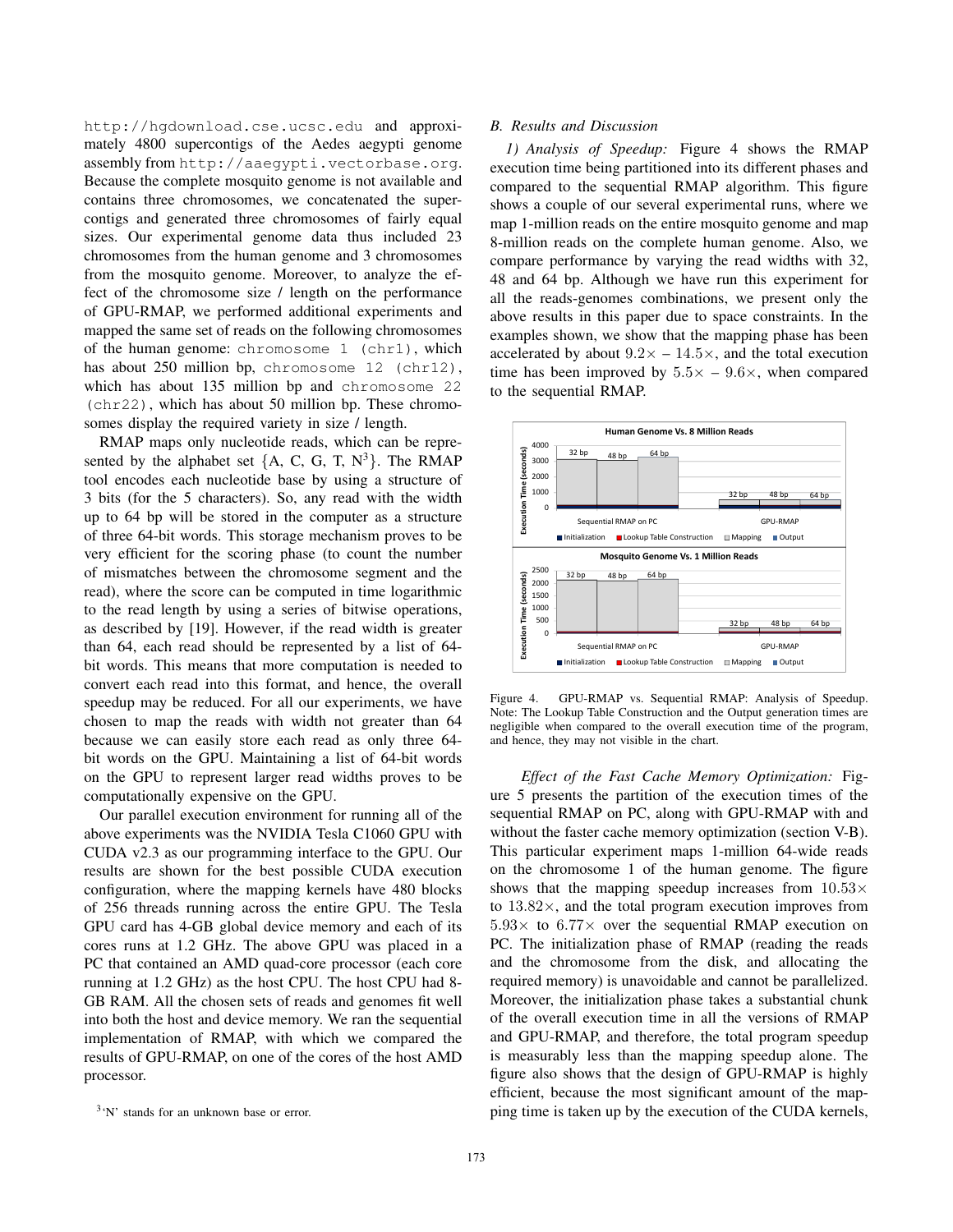http://hgdownload.cse.ucsc.edu and approximately 4800 supercontigs of the Aedes aegypti genome assembly from http://aaegypti.vectorbase.org. Because the complete mosquito genome is not available and contains three chromosomes, we concatenated the supercontigs and generated three chromosomes of fairly equal sizes. Our experimental genome data thus included 23 chromosomes from the human genome and 3 chromosomes from the mosquito genome. Moreover, to analyze the effect of the chromosome size / length on the performance of GPU-RMAP, we performed additional experiments and mapped the same set of reads on the following chromosomes of the human genome: chromosome 1 (chr1), which has about 250 million bp, chromosome 12 (chr12), which has about 135 million bp and chromosome 22 (chr22), which has about 50 million bp. These chromosomes display the required variety in size / length.

RMAP maps only nucleotide reads, which can be represented by the alphabet set  $\{A, C, G, T, N^3\}$ . The RMAP tool encodes each nucleotide base by using a structure of 3 bits (for the 5 characters). So, any read with the width up to 64 bp will be stored in the computer as a structure of three 64-bit words. This storage mechanism proves to be very efficient for the scoring phase (to count the number of mismatches between the chromosome segment and the read), where the score can be computed in time logarithmic to the read length by using a series of bitwise operations, as described by [19]. However, if the read width is greater than 64, each read should be represented by a list of 64 bit words. This means that more computation is needed to convert each read into this format, and hence, the overall speedup may be reduced. For all our experiments, we have chosen to map the reads with width not greater than 64 because we can easily store each read as only three 64 bit words on the GPU. Maintaining a list of 64-bit words on the GPU to represent larger read widths proves to be computationally expensive on the GPU.

Our parallel execution environment for running all of the above experiments was the NVIDIA Tesla C1060 GPU with CUDA v2.3 as our programming interface to the GPU. Our results are shown for the best possible CUDA execution configuration, where the mapping kernels have 480 blocks of 256 threads running across the entire GPU. The Tesla GPU card has 4-GB global device memory and each of its cores runs at 1.2 GHz. The above GPU was placed in a PC that contained an AMD quad-core processor (each core running at 1.2 GHz) as the host CPU. The host CPU had 8- GB RAM. All the chosen sets of reads and genomes fit well into both the host and device memory. We ran the sequential implementation of RMAP, with which we compared the results of GPU-RMAP, on one of the cores of the host AMD processor.

# *B. Results and Discussion*

*1) Analysis of Speedup:* Figure 4 shows the RMAP execution time being partitioned into its different phases and compared to the sequential RMAP algorithm. This figure shows a couple of our several experimental runs, where we map 1-million reads on the entire mosquito genome and map 8-million reads on the complete human genome. Also, we compare performance by varying the read widths with 32, 48 and 64 bp. Although we have run this experiment for all the reads-genomes combinations, we present only the above results in this paper due to space constraints. In the examples shown, we show that the mapping phase has been accelerated by about  $9.2 \times -14.5 \times$ , and the total execution time has been improved by  $5.5\times -9.6\times$ , when compared to the sequential RMAP.



Figure 4. GPU-RMAP vs. Sequential RMAP: Analysis of Speedup. Note: The Lookup Table Construction and the Output generation times are negligible when compared to the overall execution time of the program, and hence, they may not visible in the chart.

*Effect of the Fast Cache Memory Optimization:* Figure 5 presents the partition of the execution times of the sequential RMAP on PC, along with GPU-RMAP with and without the faster cache memory optimization (section V-B). This particular experiment maps 1-million 64-wide reads on the chromosome 1 of the human genome. The figure shows that the mapping speedup increases from  $10.53\times$ to  $13.82\times$ , and the total program execution improves from  $5.93\times$  to  $6.77\times$  over the sequential RMAP execution on PC. The initialization phase of RMAP (reading the reads and the chromosome from the disk, and allocating the required memory) is unavoidable and cannot be parallelized. Moreover, the initialization phase takes a substantial chunk of the overall execution time in all the versions of RMAP and GPU-RMAP, and therefore, the total program speedup is measurably less than the mapping speedup alone. The figure also shows that the design of GPU-RMAP is highly efficient, because the most significant amount of the mapping time is taken up by the execution of the CUDA kernels,

<sup>&</sup>lt;sup>3</sup>'N' stands for an unknown base or error.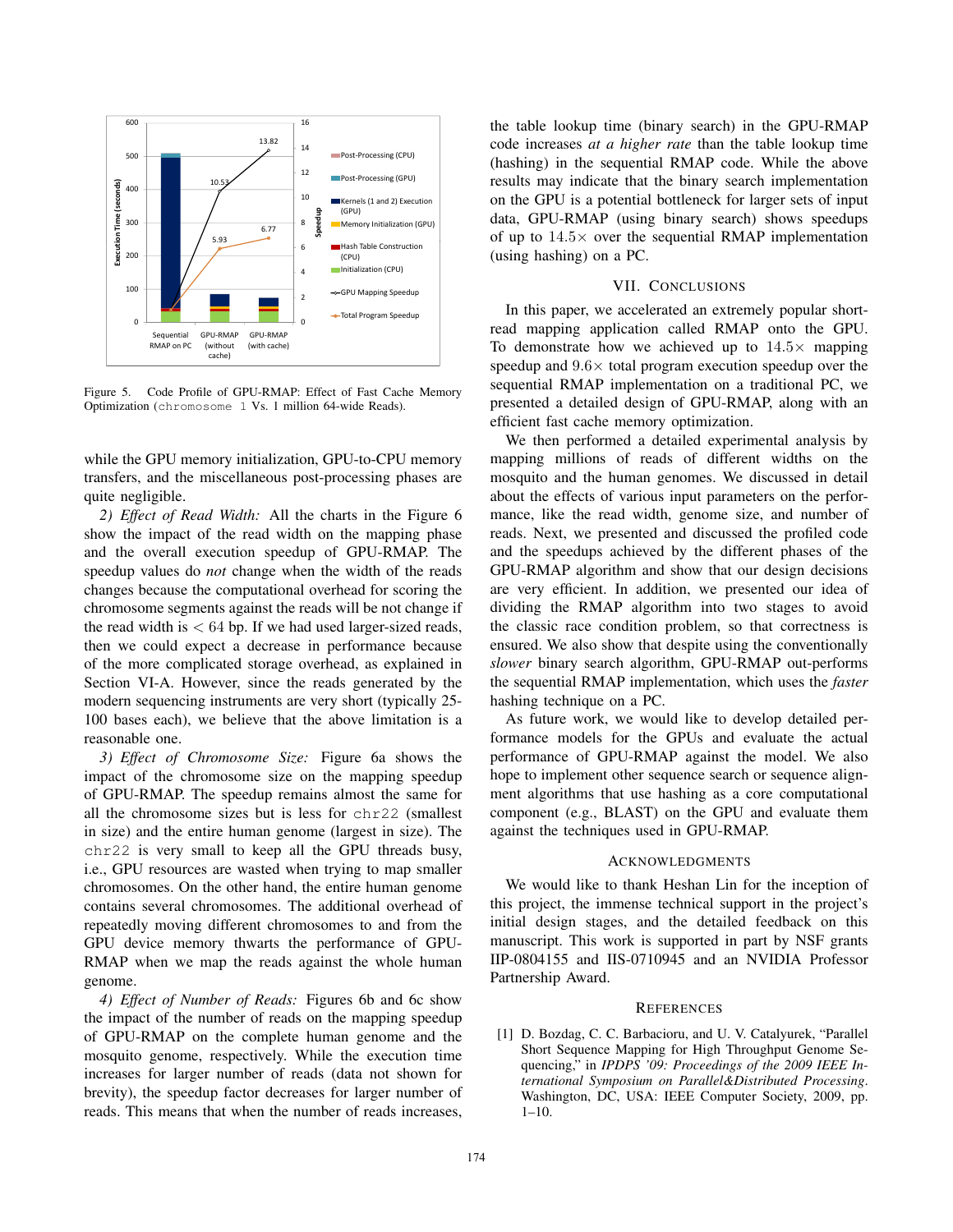

Figure 5. Code Profile of GPU-RMAP: Effect of Fast Cache Memory Optimization (chromosome 1 Vs. 1 million 64-wide Reads).

while the GPU memory initialization, GPU-to-CPU memory transfers, and the miscellaneous post-processing phases are quite negligible.

*2) Effect of Read Width:* All the charts in the Figure 6 show the impact of the read width on the mapping phase and the overall execution speedup of GPU-RMAP. The speedup values do *not* change when the width of the reads changes because the computational overhead for scoring the chromosome segments against the reads will be not change if the read width is  $< 64$  bp. If we had used larger-sized reads, then we could expect a decrease in performance because of the more complicated storage overhead, as explained in Section VI-A. However, since the reads generated by the modern sequencing instruments are very short (typically 25- 100 bases each), we believe that the above limitation is a reasonable one.

*3) Effect of Chromosome Size:* Figure 6a shows the impact of the chromosome size on the mapping speedup of GPU-RMAP. The speedup remains almost the same for all the chromosome sizes but is less for chr22 (smallest in size) and the entire human genome (largest in size). The chr22 is very small to keep all the GPU threads busy, i.e., GPU resources are wasted when trying to map smaller chromosomes. On the other hand, the entire human genome contains several chromosomes. The additional overhead of repeatedly moving different chromosomes to and from the GPU device memory thwarts the performance of GPU-RMAP when we map the reads against the whole human genome.

*4) Effect of Number of Reads:* Figures 6b and 6c show the impact of the number of reads on the mapping speedup of GPU-RMAP on the complete human genome and the mosquito genome, respectively. While the execution time increases for larger number of reads (data not shown for brevity), the speedup factor decreases for larger number of reads. This means that when the number of reads increases, the table lookup time (binary search) in the GPU-RMAP code increases *at a higher rate* than the table lookup time (hashing) in the sequential RMAP code. While the above results may indicate that the binary search implementation on the GPU is a potential bottleneck for larger sets of input data, GPU-RMAP (using binary search) shows speedups of up to  $14.5\times$  over the sequential RMAP implementation (using hashing) on a PC.

## VII. CONCLUSIONS

In this paper, we accelerated an extremely popular shortread mapping application called RMAP onto the GPU. To demonstrate how we achieved up to  $14.5\times$  mapping speedup and  $9.6 \times$  total program execution speedup over the sequential RMAP implementation on a traditional PC, we presented a detailed design of GPU-RMAP, along with an efficient fast cache memory optimization.

We then performed a detailed experimental analysis by mapping millions of reads of different widths on the mosquito and the human genomes. We discussed in detail about the effects of various input parameters on the performance, like the read width, genome size, and number of reads. Next, we presented and discussed the profiled code and the speedups achieved by the different phases of the GPU-RMAP algorithm and show that our design decisions are very efficient. In addition, we presented our idea of dividing the RMAP algorithm into two stages to avoid the classic race condition problem, so that correctness is ensured. We also show that despite using the conventionally *slower* binary search algorithm, GPU-RMAP out-performs the sequential RMAP implementation, which uses the *faster* hashing technique on a PC.

As future work, we would like to develop detailed performance models for the GPUs and evaluate the actual performance of GPU-RMAP against the model. We also hope to implement other sequence search or sequence alignment algorithms that use hashing as a core computational component (e.g., BLAST) on the GPU and evaluate them against the techniques used in GPU-RMAP.

#### ACKNOWLEDGMENTS

We would like to thank Heshan Lin for the inception of this project, the immense technical support in the project's initial design stages, and the detailed feedback on this manuscript. This work is supported in part by NSF grants IIP-0804155 and IIS-0710945 and an NVIDIA Professor Partnership Award.

#### **REFERENCES**

[1] D. Bozdag, C. C. Barbacioru, and U. V. Catalyurek, "Parallel Short Sequence Mapping for High Throughput Genome Sequencing," in *IPDPS '09: Proceedings of the 2009 IEEE International Symposium on Parallel&Distributed Processing*. Washington, DC, USA: IEEE Computer Society, 2009, pp. 1–10.